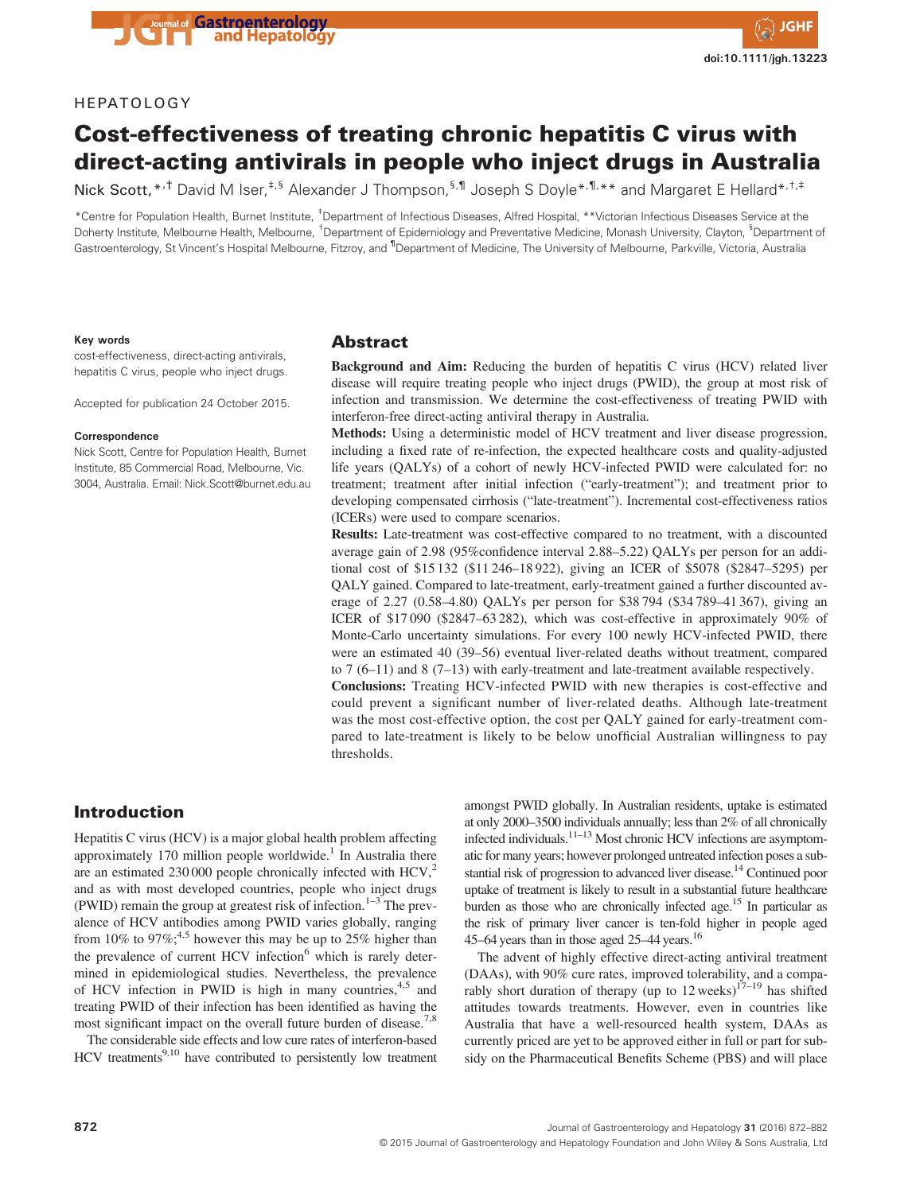

# HEPATOLOGY

# Cost-effectiveness of treating chronic hepatitis C virus with direct-acting antivirals in people who inject drugs in Australia

Nick Scott, \*<sup>,†</sup> David M Iser,<sup>‡,§</sup> Alexander J Thompson,<sup>§,¶</sup> Joseph S Doyle<sup>\*,¶,\*\*</sup> and Margaret E Hellard\*<sup>,†,‡</sup>

\*Centre for Population Health, Burnet Institute, ‡ Department of Infectious Diseases, Alfred Hospital, \*\*Victorian Infectious Diseases Service at the Doherty Institute, Melbourne Health, Melbourne, <sup>†</sup>Department of Epidemiology and Preventative Medicine, Monash University, Clayton, <sup>§</sup>Department of Gastroenterology, St Vincent's Hospital Melbourne, Fitzroy, and <sup>1</sup>Department of Medicine, The University of Melbourne, Parkville, Victoria, Australia

#### Key words

cost-effectiveness, direct-acting antivirals, hepatitis C virus, people who inject drugs.

Accepted for publication 24 October 2015.

#### Correspondence

Nick Scott, Centre for Population Health, Burnet Institute, 85 Commercial Road, Melbourne, Vic. 3004, Australia. Email: Nick.Scott@burnet.edu.au

#### Abstract

Background and Aim: Reducing the burden of hepatitis C virus (HCV) related liver disease will require treating people who inject drugs (PWID), the group at most risk of infection and transmission. We determine the cost-effectiveness of treating PWID with interferon-free direct-acting antiviral therapy in Australia.

Methods: Using a deterministic model of HCV treatment and liver disease progression, including a fixed rate of re-infection, the expected healthcare costs and quality-adjusted life years (QALYs) of a cohort of newly HCV-infected PWID were calculated for: no treatment; treatment after initial infection ("early-treatment"); and treatment prior to developing compensated cirrhosis ("late-treatment"). Incremental cost-effectiveness ratios (ICERs) were used to compare scenarios.

Results: Late-treatment was cost-effective compared to no treatment, with a discounted average gain of 2.98 (95%confidence interval 2.88–5.22) QALYs per person for an additional cost of \$15 132 (\$11 246–18 922), giving an ICER of \$5078 (\$2847–5295) per QALY gained. Compared to late-treatment, early-treatment gained a further discounted average of 2.27 (0.58–4.80) QALYs per person for \$38 794 (\$34 789–41 367), giving an ICER of \$17 090 (\$2847–63 282), which was cost-effective in approximately 90% of Monte-Carlo uncertainty simulations. For every 100 newly HCV-infected PWID, there were an estimated 40 (39–56) eventual liver-related deaths without treatment, compared to 7 (6–11) and 8 (7–13) with early-treatment and late-treatment available respectively.

Conclusions: Treating HCV-infected PWID with new therapies is cost-effective and could prevent a significant number of liver-related deaths. Although late-treatment was the most cost-effective option, the cost per QALY gained for early-treatment compared to late-treatment is likely to be below unofficial Australian willingness to pay thresholds.

# Introduction

Hepatitis C virus (HCV) is a major global health problem affecting approximately 170 million people worldwide.<sup>1</sup> In Australia there are an estimated 230 000 people chronically infected with  $HCV<sub>1</sub><sup>2</sup>$ and as with most developed countries, people who inject drugs (PWID) remain the group at greatest risk of infection.<sup>1–3</sup> The prevalence of HCV antibodies among PWID varies globally, ranging from 10% to 97%;<sup>4,5</sup> however this may be up to 25% higher than the prevalence of current HCV infection<sup>6</sup> which is rarely determined in epidemiological studies. Nevertheless, the prevalence of HCV infection in PWID is high in many countries,  $4.5$  and treating PWID of their infection has been identified as having the most significant impact on the overall future burden of disease.<sup>7,8</sup>

The considerable side effects and low cure rates of interferon-based  $HCV$  treatments<sup>9,10</sup> have contributed to persistently low treatment

amongst PWID globally. In Australian residents, uptake is estimated at only 2000–3500 individuals annually; less than 2% of all chronically infected individuals. $11-13$  Most chronic HCV infections are asymptomatic for many years; however prolonged untreated infection poses a substantial risk of progression to advanced liver disease.<sup>14</sup> Continued poor uptake of treatment is likely to result in a substantial future healthcare burden as those who are chronically infected age.<sup>15</sup> In particular as the risk of primary liver cancer is ten-fold higher in people aged 45–64 years than in those aged 25–44 years.16

The advent of highly effective direct-acting antiviral treatment (DAAs), with 90% cure rates, improved tolerability, and a comparably short duration of therapy (up to  $12$  weeks)<sup>17-19</sup> has shifted attitudes towards treatments. However, even in countries like Australia that have a well-resourced health system, DAAs as currently priced are yet to be approved either in full or part for subsidy on the Pharmaceutical Benefits Scheme (PBS) and will place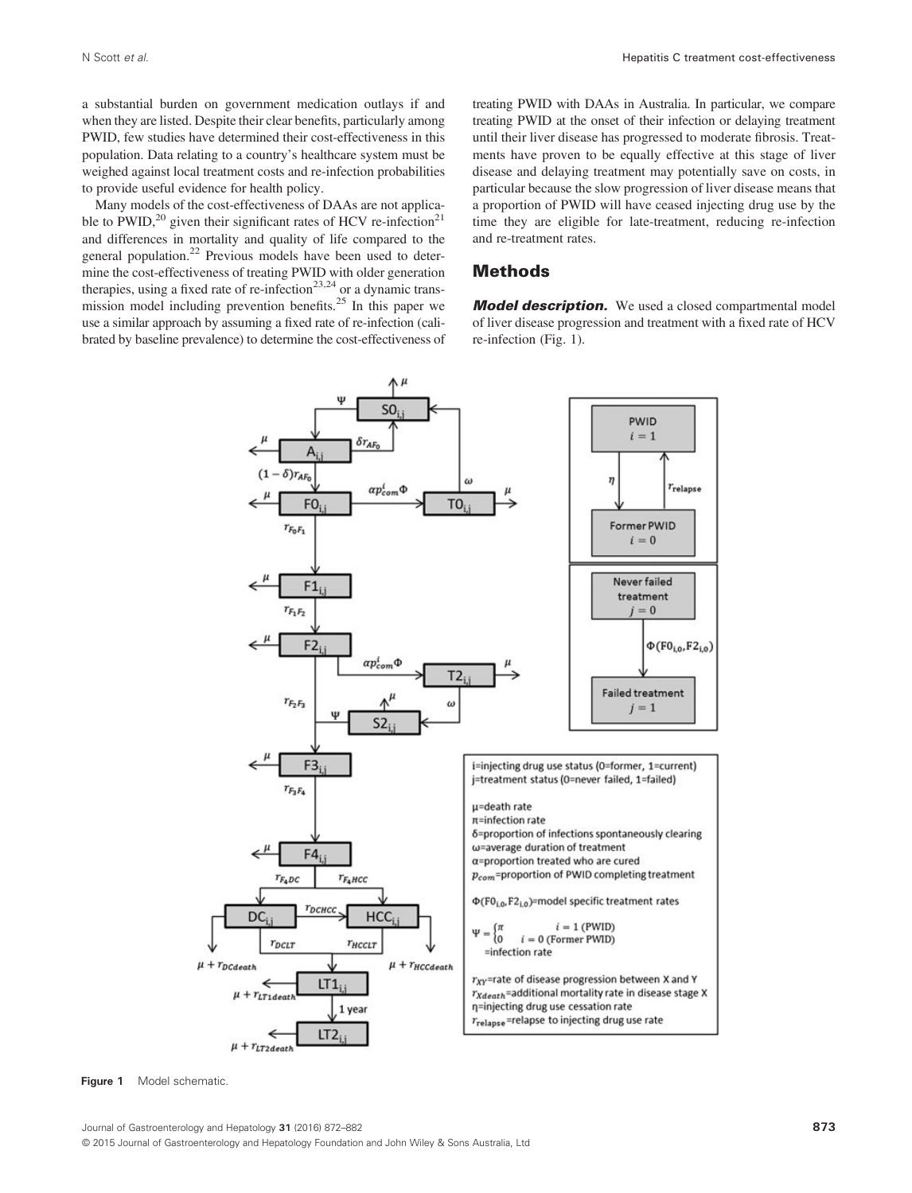a substantial burden on government medication outlays if and when they are listed. Despite their clear benefits, particularly among PWID, few studies have determined their cost-effectiveness in this population. Data relating to a country's healthcare system must be weighed against local treatment costs and re-infection probabilities to provide useful evidence for health policy.

Many models of the cost-effectiveness of DAAs are not applicable to  $PWID$ ,<sup>20</sup> given their significant rates of HCV re-infection<sup>21</sup> and differences in mortality and quality of life compared to the general population.<sup>22</sup> Previous models have been used to determine the cost-effectiveness of treating PWID with older generation therapies, using a fixed rate of re-infection<sup>23,24</sup> or a dynamic transmission model including prevention benefits.<sup>25</sup> In this paper we use a similar approach by assuming a fixed rate of re-infection (calibrated by baseline prevalence) to determine the cost-effectiveness of treating PWID with DAAs in Australia. In particular, we compare treating PWID at the onset of their infection or delaying treatment until their liver disease has progressed to moderate fibrosis. Treatments have proven to be equally effective at this stage of liver disease and delaying treatment may potentially save on costs, in particular because the slow progression of liver disease means that a proportion of PWID will have ceased injecting drug use by the time they are eligible for late-treatment, reducing re-infection and re-treatment rates.

### Methods

**Model description.** We used a closed compartmental model of liver disease progression and treatment with a fixed rate of HCV re-infection (Fig. 1).



Figure 1 Model schematic.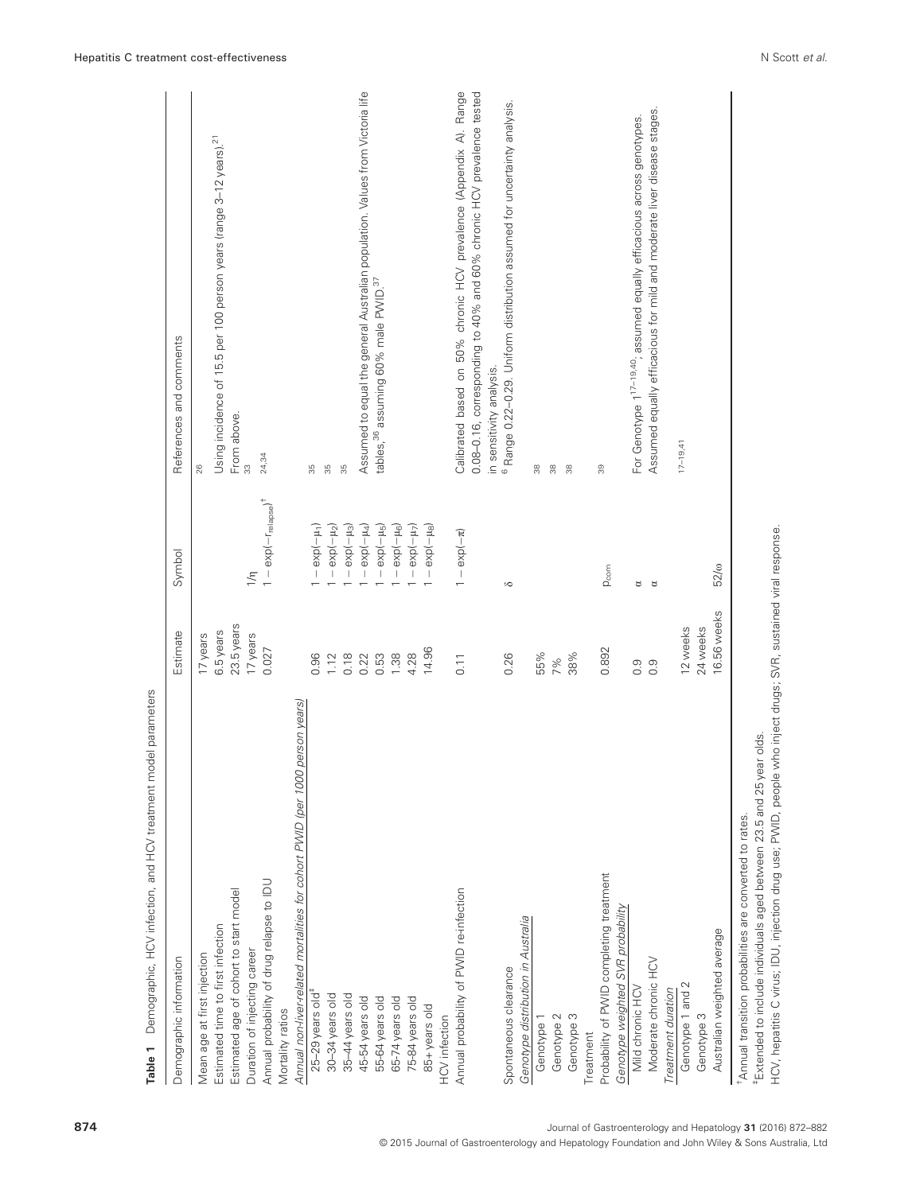| Demographic information                                                                                                                                  | Estimate    | Symbol                                                  | References and comments                                                                                                                     |
|----------------------------------------------------------------------------------------------------------------------------------------------------------|-------------|---------------------------------------------------------|---------------------------------------------------------------------------------------------------------------------------------------------|
| Mean age at first injection                                                                                                                              | 17 years    |                                                         | 26                                                                                                                                          |
| Estimated time to first infection                                                                                                                        | 6.5 years   |                                                         | Using incidence of 15.5 per 100 person years (range 3-12 years). <sup>21</sup>                                                              |
| Estimated age of cohort to start model                                                                                                                   | 23.5 years  |                                                         | From above.                                                                                                                                 |
| Duration of injecting career                                                                                                                             | 17 years    | $\frac{1}{\sqrt{2}}$                                    | 3                                                                                                                                           |
| Annual probability of drug relapse to IDU                                                                                                                | 0.027       | $1 - \exp(-r_{\text{relapse}})^+$                       | 24,34                                                                                                                                       |
| Mortality ratios                                                                                                                                         |             |                                                         |                                                                                                                                             |
| Annual non-liver-related mortalities for cohort PWID (per 1000 person years)                                                                             |             |                                                         |                                                                                                                                             |
| $25-29$ years old <sup>#</sup>                                                                                                                           | 0.96        | $\exp(-\mu_1)$<br>$\begin{array}{c} \hline \end{array}$ | 35                                                                                                                                          |
| 30-34 years old                                                                                                                                          | 1.12        | $-$ exp( $ \mu_2$ )                                     | 35                                                                                                                                          |
| 35-44 years old                                                                                                                                          | 0.18        | $\exp(-\mu_3)$<br>$\vert$                               | 35                                                                                                                                          |
| 45-54 years old                                                                                                                                          | 0.22        | $\exp(-\mu_4)$<br>$\ $                                  | Assumed to equal the general Australian population. Values from Victoria life                                                               |
| 55-64 years old                                                                                                                                          | 0.53        | $\exp(-\mu_5)$<br>$\, \cdot \,$                         | tables, <sup>36</sup> assuming 60% male PWID. <sup>37</sup>                                                                                 |
| 65-74 years old                                                                                                                                          | 1.38        | $\exp(-\mu_6)$<br>$\mid$                                |                                                                                                                                             |
| 75-84 years old                                                                                                                                          | 4.28        | $\exp(-\mu_7)$                                          |                                                                                                                                             |
| 85+years old                                                                                                                                             | 14.96       | $\exp(-\mu_{\rm B})$<br>$\overline{\phantom{a}}$        |                                                                                                                                             |
| <b>HCV</b> infection                                                                                                                                     |             |                                                         |                                                                                                                                             |
| Annual probability of PWID re-infection                                                                                                                  | 0.11        | $1 - \exp(-\pi)$                                        | Calibrated based on 50% chronic HCV prevalence (Appendix A). Range<br>0.08-0.16, corresponding to 40% and 60% chronic HCV prevalence tested |
|                                                                                                                                                          |             |                                                         | in sensitivity analysis.                                                                                                                    |
| Spontaneous clearance                                                                                                                                    | 0.26        | $\infty$                                                | <sup>6</sup> Range 0.22-0.29. Uniform distribution assumed for uncertainty analysis.                                                        |
| Genotype distribution in Australia                                                                                                                       |             |                                                         |                                                                                                                                             |
| Genotype 1                                                                                                                                               | 55%         |                                                         | 38                                                                                                                                          |
| Genotype 2                                                                                                                                               | 7%          |                                                         | 38                                                                                                                                          |
| Genotype 3                                                                                                                                               | 38%         |                                                         | 38                                                                                                                                          |
| Treatment                                                                                                                                                |             |                                                         |                                                                                                                                             |
| Probability of PWID completing treatment                                                                                                                 | 0.892       | $p_{\text{com}}$                                        | 39                                                                                                                                          |
| Genotype weighted SVR probability                                                                                                                        |             |                                                         |                                                                                                                                             |
| Mild chronic HCV                                                                                                                                         | 0.9         | ರ                                                       | For Genotype 1 <sup>17-19,40</sup> , assumed equally efficacious across genotypes.                                                          |
| Moderate chronic HCV                                                                                                                                     | 0.9         | ď                                                       | Assumed equally efficacious for mild and moderate liver disease stages.                                                                     |
| Treatment duration                                                                                                                                       |             |                                                         |                                                                                                                                             |
| Genotype 1 and 2                                                                                                                                         | 12 weeks    |                                                         | $17 - 19,41$                                                                                                                                |
| Genotype 3                                                                                                                                               | 24 weeks    |                                                         |                                                                                                                                             |
| Australian weighted average                                                                                                                              | 16.56 weeks | $52/\omega$                                             |                                                                                                                                             |
| <sup>#</sup> Extended to include individuals aged between 23.5 and 25 year olds.<br><sup>†</sup> Annual transition probabilities are converted to rates. |             |                                                         |                                                                                                                                             |
| HCV, hepatitis C virus; IDU, injection drug use; PWID, people who inject drugs; SVR, sustained viral response.                                           |             |                                                         |                                                                                                                                             |

874 Journal of Gastroenterology and Hepatology 31 (2016) 872–882

© 2015 Journal of Gastroenterology and Hepatology Foundation and John Wiley & Sons Australia, Ltd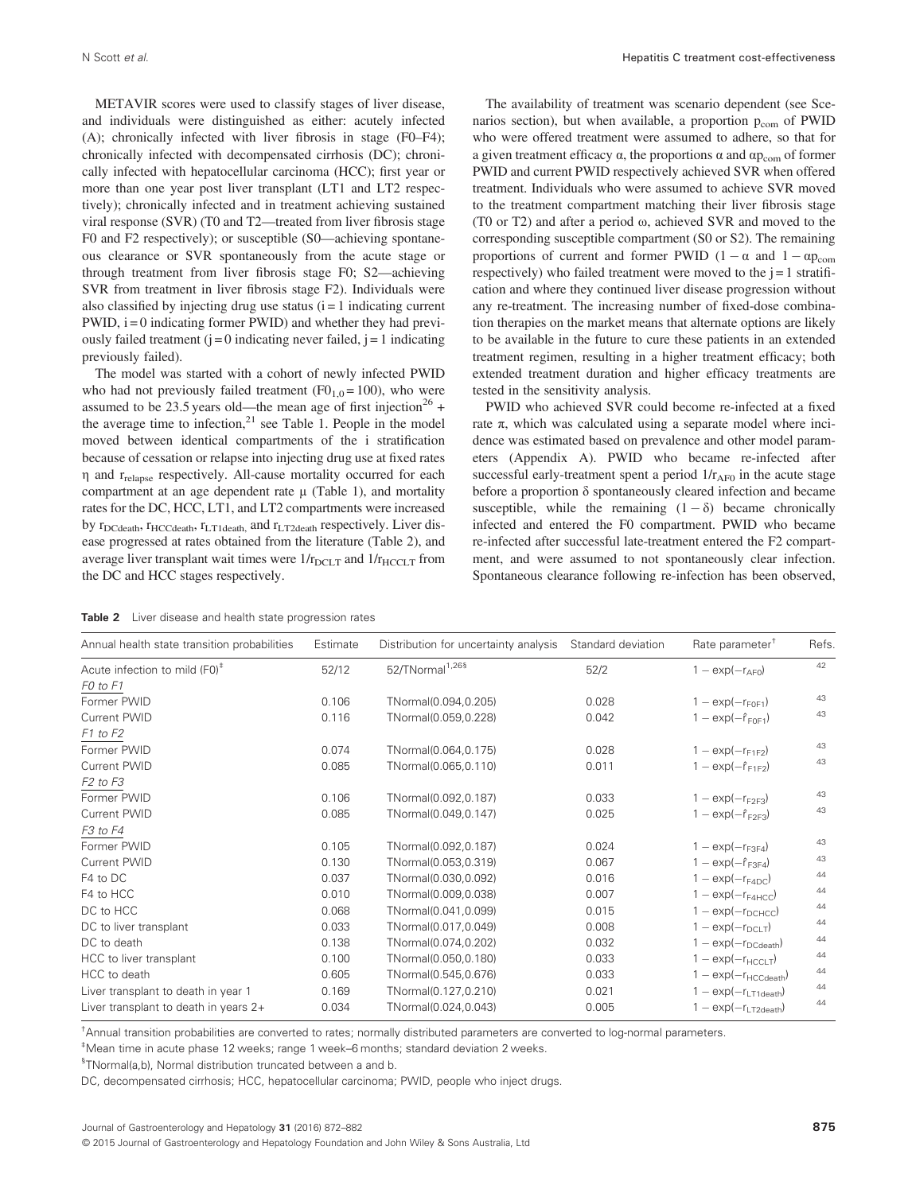METAVIR scores were used to classify stages of liver disease, and individuals were distinguished as either: acutely infected (A); chronically infected with liver fibrosis in stage (F0–F4); chronically infected with decompensated cirrhosis (DC); chronically infected with hepatocellular carcinoma (HCC); first year or more than one year post liver transplant (LT1 and LT2 respectively); chronically infected and in treatment achieving sustained viral response (SVR) (T0 and T2—treated from liver fibrosis stage F0 and F2 respectively); or susceptible (S0—achieving spontaneous clearance or SVR spontaneously from the acute stage or through treatment from liver fibrosis stage F0; S2—achieving SVR from treatment in liver fibrosis stage F2). Individuals were also classified by injecting drug use status  $(i = 1$  indicating current  $PWID$ ,  $i = 0$  indicating former  $PWID$ ) and whether they had previously failed treatment ( $j = 0$  indicating never failed,  $j = 1$  indicating previously failed).

The model was started with a cohort of newly infected PWID who had not previously failed treatment  $(F0<sub>1,0</sub> = 100)$ , who were assumed to be 23.5 years old—the mean age of first injection<sup>26</sup> + the average time to infection, $2<sup>1</sup>$  see Table 1. People in the model moved between identical compartments of the i stratification because of cessation or relapse into injecting drug use at fixed rates η and rrelapse respectively. All-cause mortality occurred for each compartment at an age dependent rate  $\mu$  (Table 1), and mortality rates for the DC, HCC, LT1, and LT2 compartments were increased by  $r_{DCdeath}$ ,  $r_{HCCdeath}$ ,  $r_{LT1death}$ , and  $r_{LT2death}$  respectively. Liver disease progressed at rates obtained from the literature (Table 2), and average liver transplant wait times were  $1/r_{\text{DCLT}}$  and  $1/r_{\text{HCCLT}}$  from the DC and HCC stages respectively.

The availability of treatment was scenario dependent (see Scenarios section), but when available, a proportion  $p_{com}$  of PWID who were offered treatment were assumed to adhere, so that for a given treatment efficacy  $\alpha$ , the proportions  $\alpha$  and  $\alpha p_{com}$  of former PWID and current PWID respectively achieved SVR when offered treatment. Individuals who were assumed to achieve SVR moved to the treatment compartment matching their liver fibrosis stage (T0 or T2) and after a period ω, achieved SVR and moved to the corresponding susceptible compartment (S0 or S2). The remaining proportions of current and former PWID  $(1 - \alpha \text{ and } 1 - \alpha p_{\text{com}})$ respectively) who failed treatment were moved to the  $j = 1$  stratification and where they continued liver disease progression without any re-treatment. The increasing number of fixed-dose combination therapies on the market means that alternate options are likely to be available in the future to cure these patients in an extended treatment regimen, resulting in a higher treatment efficacy; both extended treatment duration and higher efficacy treatments are tested in the sensitivity analysis.

PWID who achieved SVR could become re-infected at a fixed rate π, which was calculated using a separate model where incidence was estimated based on prevalence and other model parameters (Appendix A). PWID who became re-infected after successful early-treatment spent a period  $1/r_{AF0}$  in the acute stage before a proportion δ spontaneously cleared infection and became susceptible, while the remaining  $(1 - \delta)$  became chronically infected and entered the F0 compartment. PWID who became re-infected after successful late-treatment entered the F2 compartment, and were assumed to not spontaneously clear infection. Spontaneous clearance following re-infection has been observed,

| <b>Table 2</b> Liver disease and health state progression rates |  |
|-----------------------------------------------------------------|--|
|-----------------------------------------------------------------|--|

| Annual health state transition probabilities | Estimate | Distribution for uncertainty analysis | Standard deviation | Rate parameter <sup>†</sup>      | Refs. |
|----------------------------------------------|----------|---------------------------------------|--------------------|----------------------------------|-------|
| Acute infection to mild (F0) <sup>#</sup>    | 52/12    | 52/TNormal <sup>1,26§</sup>           | 52/2               | $1 - \exp(-r_{\text{AFO}})$      | 42    |
| F <sub>0</sub> to F <sub>1</sub>             |          |                                       |                    |                                  |       |
| Former PWID                                  | 0.106    | TNormal(0.094,0.205)                  | 0.028              | $1 - \exp(-r_{F0F1})$            | 43    |
| Current PWID                                 | 0.116    | TNormal(0.059,0.228)                  | 0.042              | $1 - \exp(-\hat{r}_{F0F1})$      | 43    |
| F1 to F2                                     |          |                                       |                    |                                  |       |
| Former PWID                                  | 0.074    | TNormal(0.064,0.175)                  | 0.028              | $1 - \exp(-r_{F1F2})$            | 43    |
| Current PWID                                 | 0.085    | TNormal(0.065,0.110)                  | 0.011              | $1 - \exp(-\hat{r}_{F1F2})$      | 43    |
| F <sub>2</sub> to F <sub>3</sub>             |          |                                       |                    |                                  |       |
| Former PWID                                  | 0.106    | TNormal(0.092,0.187)                  | 0.033              | $1 - \exp(-r_{F2F3})$            | 43    |
| Current PWID                                 | 0.085    | TNormal(0.049,0.147)                  | 0.025              | $1 - \exp(-\hat{r}_{F2F3})$      | 43    |
| F <sub>3</sub> to F <sub>4</sub>             |          |                                       |                    |                                  |       |
| Former PWID                                  | 0.105    | TNormal(0.092,0.187)                  | 0.024              | $1 - \exp(-r_{F3F4})$            | 43    |
| <b>Current PWID</b>                          | 0.130    | TNormal(0.053,0.319)                  | 0.067              | $1 - \exp(-\hat{r}_{F3F4})$      | 43    |
| F4 to DC                                     | 0.037    | TNormal(0.030,0.092)                  | 0.016              | $1 - \exp(-r_{F4DC})$            | 44    |
| F4 to HCC                                    | 0.010    | TNormal(0.009,0.038)                  | 0.007              | $1 - \exp(-r_{\text{F4HCC}})$    | 44    |
| DC to HCC                                    | 0.068    | TNormal(0.041,0.099)                  | 0.015              | $1 - \exp(-r_{DCHCC})$           | 44    |
| DC to liver transplant                       | 0.033    | TNormal(0.017,0.049)                  | 0.008              | $1 - \exp(-r_{\text{DCI T}})$    | 44    |
| DC to death                                  | 0.138    | TNormal(0.074,0.202)                  | 0.032              | $1 - \exp(-r_{\text{DCdeath}})$  | 44    |
| HCC to liver transplant                      | 0.100    | TNormal(0.050,0.180)                  | 0.033              | $1 - \exp(-r_{\text{HCCLT}})$    | 44    |
| HCC to death                                 | 0.605    | TNormal(0.545,0.676)                  | 0.033              | $1 - \exp(-r_{\text{HCCdeath}})$ | 44    |
| Liver transplant to death in year 1          | 0.169    | TNormal(0.127,0.210)                  | 0.021              | $1 - \exp(-r_{\text{LT1death}})$ | 44    |
| Liver transplant to death in years $2+$      | 0.034    | TNormal(0.024,0.043)                  | 0.005              | $1 - \exp(-r_{LT2death})$        | 44    |

† Annual transition probabilities are converted to rates; normally distributed parameters are converted to log-normal parameters.

‡ Mean time in acute phase 12 weeks; range 1 week–6 months; standard deviation 2 weeks.

<sup>§</sup>TNormal(a,b), Normal distribution truncated between a and b.

DC, decompensated cirrhosis; HCC, hepatocellular carcinoma; PWID, people who inject drugs.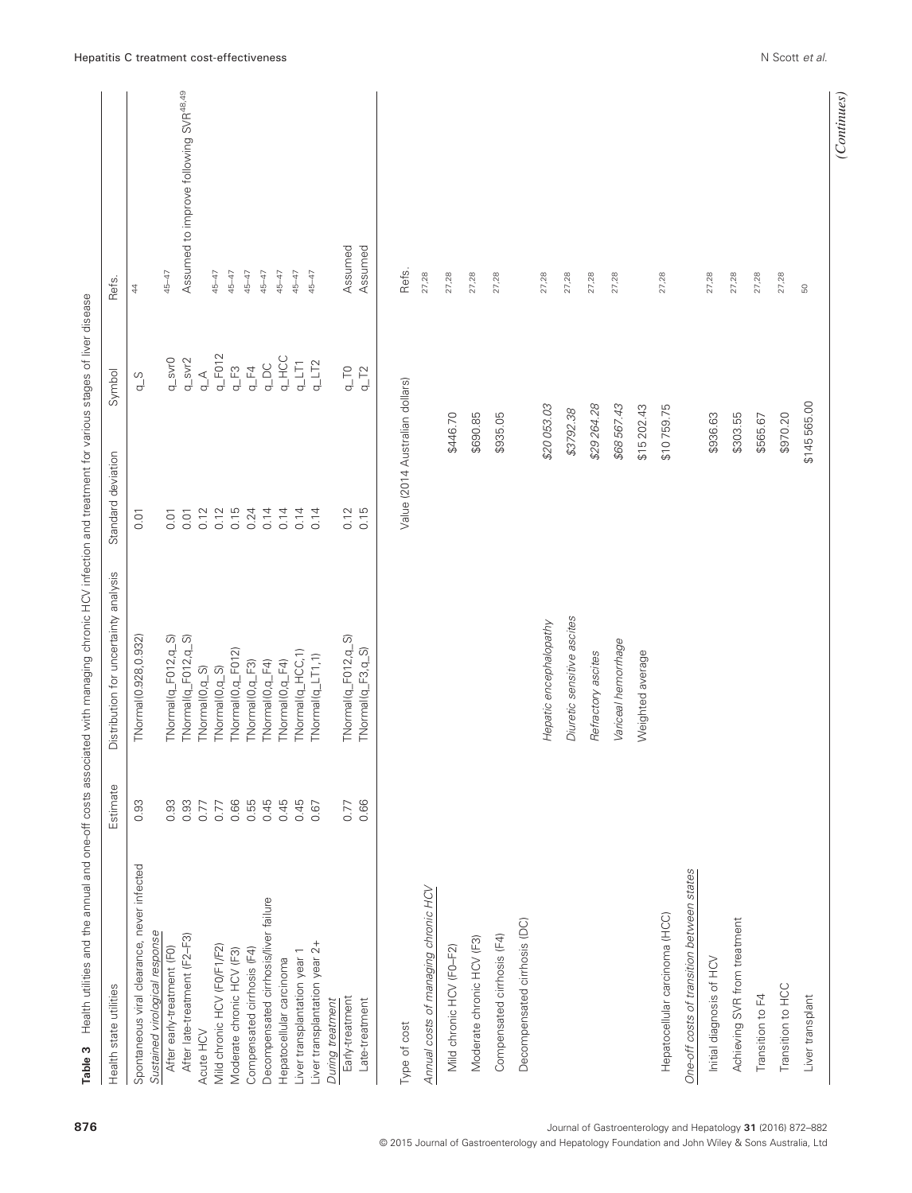| Health state utilities                                       | Estimate | Distribution for uncertainty analysis | Standard deviation              | Symbol                                      | Refs.                                             |
|--------------------------------------------------------------|----------|---------------------------------------|---------------------------------|---------------------------------------------|---------------------------------------------------|
| Spontaneous viral clearance, never infected                  | 0.93     | TNormal(0.928, 0.932)                 | 0.01                            | $\frac{S}{q}$                               | $\ddot{4}$                                        |
| Sustained virological response<br>After early-treatment (F0) | 0.93     | TNormal(q_F012,q_S)                   | 0.01                            | $q$ _svr $0$                                | 45-47                                             |
| After late-treatment (F2-F3)                                 | 0.93     | TNormal(q_F012,q_S)                   | 0.01                            | $q$ _svr $2$                                | Assumed to improve following SVR <sup>48,49</sup> |
| Acute HCV                                                    | 0.77     | TNormal(0,q_S)                        | 0.12                            | $\mathop{\mathsf{L}}\nolimits_{\mathsf{D}}$ |                                                   |
| Mild chronic HCV (F0/F1/F2)                                  | 0.77     | TNormal(0,q_S)                        | 0.12                            | $q_F$ F012                                  | 45-47                                             |
| Moderate chronic HCV (F3)                                    | 0.66     | TNormal(0,q_F012)                     | 0.15                            | $q_EF3$                                     | 45-47                                             |
| Compensated cirrhosis (F4)                                   | 0.55     | TNormal(0,q_F3)                       | 0.24                            | $q_EF4$                                     | 45-47                                             |
| Decompensated cirrhosis/liver failure                        | 0.45     | TNormal(0,q_F4)                       | 0.14                            | $Q_{\perp}$ DC                              | 45-47                                             |
| Hepatocellular carcinoma                                     | 0.45     | TNormal(0,q_F4)                       | 0.14                            | <b>q_HCC</b>                                | 45-47                                             |
| Liver transplantation year 1                                 | 0.45     | TNormal(q_HCC,1)                      | 0.14                            | $q\_LT$ 1                                   | 45-47                                             |
| Liver transplantation year 2+                                | 0.67     | TNormal(q_LT1,1)                      | 0.14                            | $q$ _LT2                                    | 45-47                                             |
| During treatment                                             |          |                                       |                                 |                                             |                                                   |
| Early-treatment                                              | 0.77     | TNormal(q_F012,q_S)                   | 0.12                            | $\sqrt{10}$                                 | Assumed                                           |
| Late-treatment                                               | 0.66     | TNormal(q_F3,q_S)                     | 0.15                            | $q_{\perp}$ T <sub>2</sub>                  | Assumed                                           |
|                                                              |          |                                       |                                 |                                             |                                                   |
| Type of cost                                                 |          |                                       | Value (2014 Australian dollars) |                                             | Refs.                                             |
| Annual costs of managing chronic HCV                         |          |                                       |                                 |                                             | 27,28                                             |
| Mild chronic HCV (FO-F2)                                     |          |                                       |                                 | \$446.70                                    | 27,28                                             |
| Moderate chronic HCV (F3)                                    |          |                                       |                                 | \$690.85                                    | 27,28                                             |
|                                                              |          |                                       |                                 |                                             |                                                   |
| Compensated cirrhosis (F4)                                   |          |                                       |                                 | \$935.05                                    | 27,28                                             |
| Decompensated cirrhosis (DC)                                 |          |                                       |                                 |                                             |                                                   |
|                                                              |          | Hepatic encephalopathy                |                                 | \$20053.03                                  | 27,28                                             |
|                                                              |          | Diuretic sensitive ascites            |                                 | \$3792.38                                   | 27,28                                             |
|                                                              |          |                                       |                                 |                                             |                                                   |
|                                                              |          | Refractory ascites                    |                                 | \$29264.28                                  | 27,28                                             |
|                                                              |          | Variceal hemorrhage                   |                                 | \$68567.43                                  | 27,28                                             |
|                                                              |          | Weighted average                      |                                 | \$15 202.43                                 |                                                   |
| Hepatocellular carcinoma (HCC)                               |          |                                       |                                 | \$10759.75                                  | 27,28                                             |
| One-off costs of transition between states                   |          |                                       |                                 |                                             |                                                   |
| Initial diagnosis of HCV                                     |          |                                       |                                 | \$936.63                                    | 27,28                                             |
| Achieving SVR from treatment                                 |          |                                       |                                 | \$303.55                                    | 27,28                                             |
| Transition to F4                                             |          |                                       |                                 | \$565.67                                    | 27,28                                             |
| Transition to HCC                                            |          |                                       |                                 | \$970.20                                    | 27,28                                             |
| Liver transplant                                             |          |                                       |                                 | \$145565.00                                 | $\mathbb S$                                       |
|                                                              |          |                                       |                                 |                                             |                                                   |
|                                                              |          |                                       |                                 |                                             | (Continues)                                       |

876 Journal of Gastroenterology and Hepatology 31 (2016) 872–882

© 2015 Journal of Gastroenterology and Hepatology Foundation and John Wiley & Sons Australia, Ltd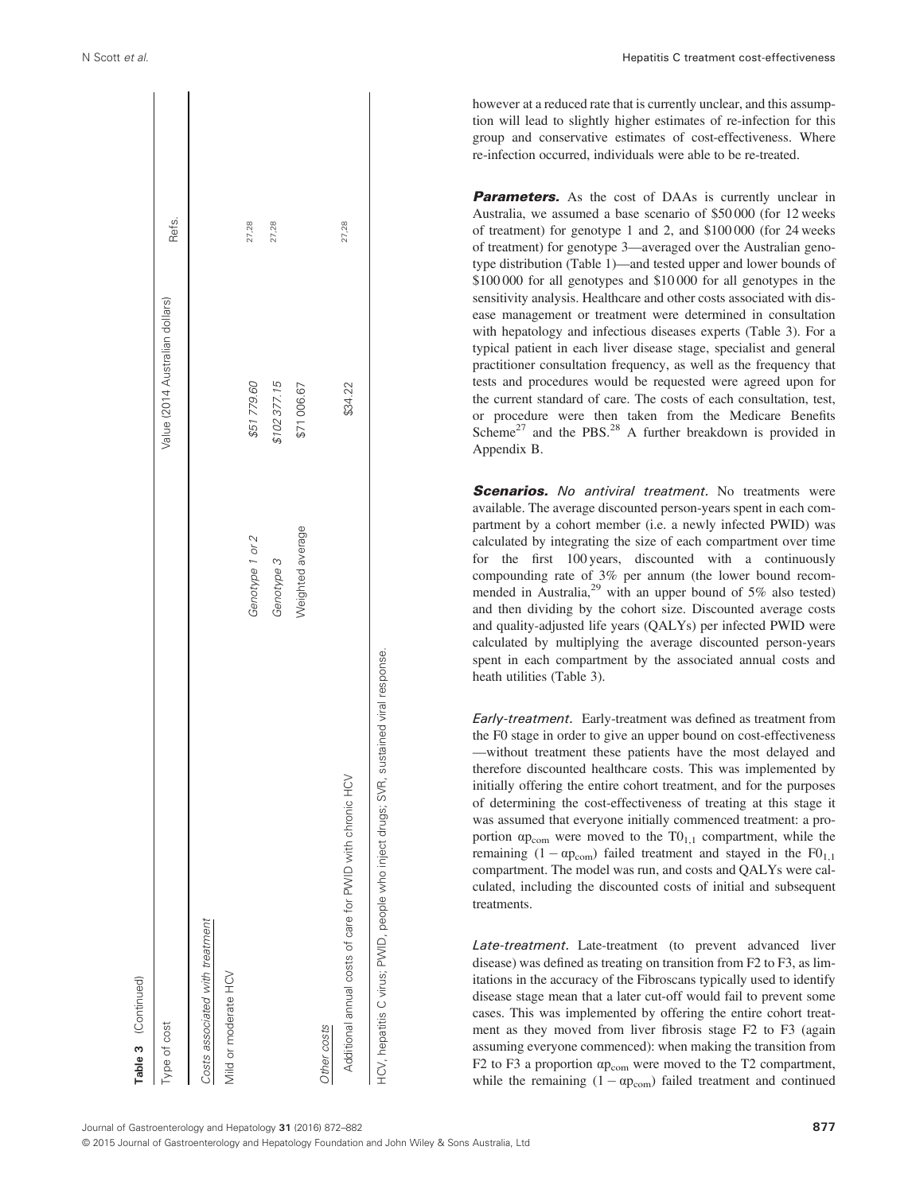| Table 3 (Continued)                                                                   |                  |                                 |       |
|---------------------------------------------------------------------------------------|------------------|---------------------------------|-------|
| Type of cost                                                                          |                  | Value (2014 Australian dollars) | Refs. |
| Costs associated with treatment                                                       |                  |                                 |       |
| Mild or moderate HCV                                                                  |                  |                                 |       |
|                                                                                       | Genotype 1 or 2  | \$51779.60                      | 27,28 |
|                                                                                       | Genotype 3       | \$102377.15                     | 27,28 |
|                                                                                       | Weighted average | \$71006.67                      |       |
| Other costs                                                                           |                  |                                 |       |
| Additional annual costs of care for PWID with chronic HCV                             |                  | \$34.22                         | 27,28 |
| HCV, hepatitis C virus; PWID, people who inject drugs; SVR, sustained viral response. |                  |                                 |       |
|                                                                                       |                  |                                 |       |

N Scott et al. Hepatitis C treatment cost-effectiveness

however at a reduced rate that is currently unclear, and this assumption will lead to slightly higher estimates of re-infection for this group and conservative estimates of cost-effectiveness. Where re-infection occurred, individuals were able to be re-treated.

**Parameters.** As the cost of DAAs is currently unclear in Australia, we assumed a base scenario of \$50 000 (for 12 weeks of treatment) for genotype 1 and 2, and \$100 000 (for 24 weeks of treatment) for genotype 3—averaged over the Australian genotype distribution (Table 1)—and tested upper and lower bounds of \$100 000 for all genotypes and \$10 000 for all genotypes in the sensitivity analysis. Healthcare and other costs associated with disease management or treatment were determined in consultation with hepatology and infectious diseases experts (Table 3). For a typical patient in each liver disease stage, specialist and general practitioner consultation frequency, as well as the frequency that tests and procedures would be requested were agreed upon for the current standard of care. The costs of each consultation, test, or procedure were then taken from the Medicare Benefits Scheme<sup>27</sup> and the PBS.<sup>28</sup> A further breakdown is provided in Appendix B.

**Scenarios.** No antiviral treatment. No treatments were available. The average discounted person-years spent in each compartment by a cohort member (i.e. a newly infected PWID) was calculated by integrating the size of each compartment over time for the first 100 years, discounted with a continuously compounding rate of 3% per annum (the lower bound recommended in Australia,  $^{29}$  with an upper bound of 5% also tested) and then dividing by the cohort size. Discounted average costs and quality-adjusted life years (QALYs) per infected PWID were calculated by multiplying the average discounted person-years spent in each compartment by the associated annual costs and heath utilities (Table 3).

Early-treatment. Early-treatment was defined as treatment from the F0 stage in order to give an upper bound on cost-effectiveness —without treatment these patients have the most delayed and therefore discounted healthcare costs. This was implemented by initially offering the entire cohort treatment, and for the purposes of determining the cost-effectiveness of treating at this stage it was assumed that everyone initially commenced treatment: a proportion  $\alpha p_{\text{com}}$  were moved to the T0<sub>1.1</sub> compartment, while the remaining  $(1 - \alpha p_{com})$  failed treatment and stayed in the FO<sub>1,1</sub> compartment. The model was run, and costs and QALYs were calculated, including the discounted costs of initial and subsequent treatments.

Late-treatment. Late-treatment (to prevent advanced liver disease) was defined as treating on transition from F2 to F3, as limitations in the accuracy of the Fibroscans typically used to identify disease stage mean that a later cut-off would fail to prevent some cases. This was implemented by offering the entire cohort treatment as they moved from liver fibrosis stage F2 to F3 (again assuming everyone commenced): when making the transition from F2 to F3 a proportion αp<sub>com</sub> were moved to the T2 compartment, while the remaining  $(1 - \alpha p_{com})$  failed treatment and continued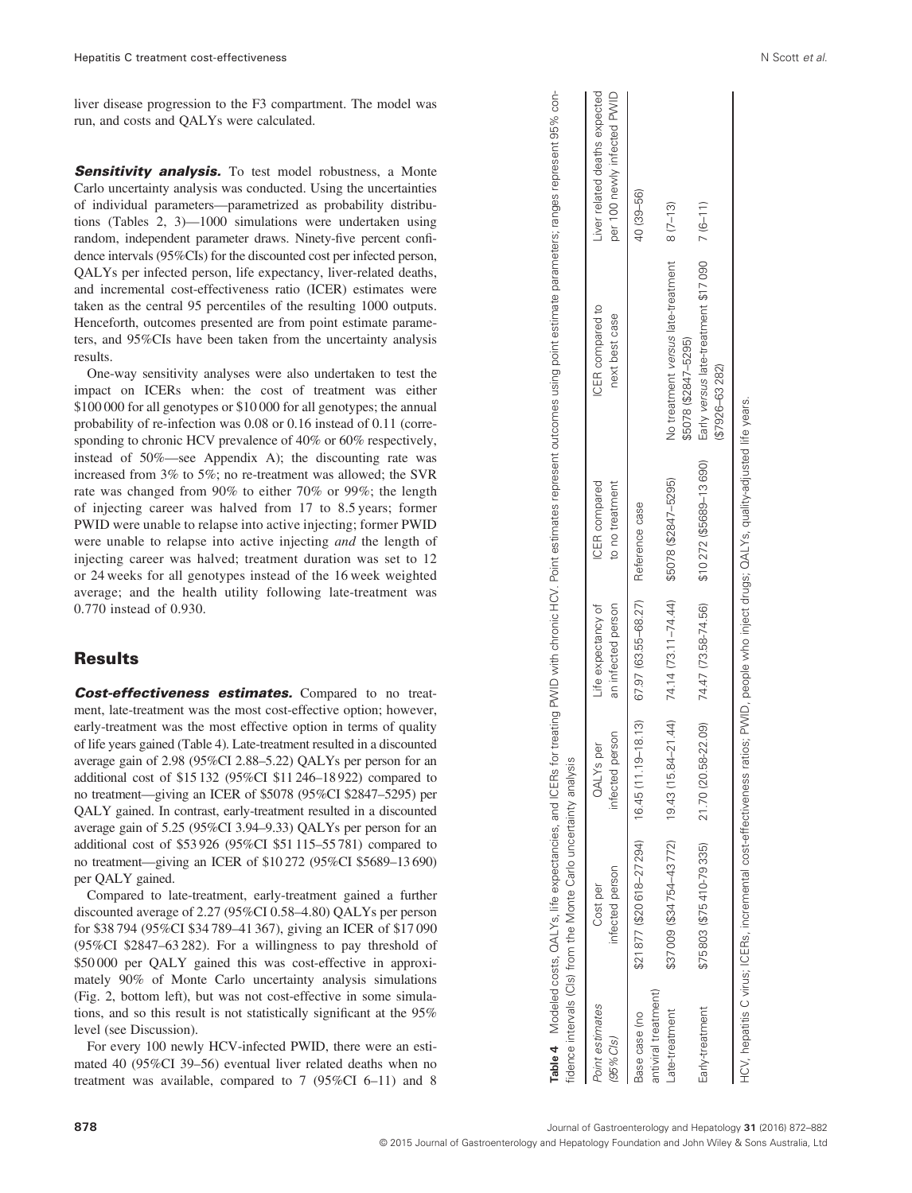liver disease progression to the F3 compartment. The model was run, and costs and QALYs were calculated.

**Sensitivity analysis.** To test model robustness, a Monte Carlo uncertainty analysis was conducted. Using the uncertainties of individual parameters—parametrized as probability distributions (Tables 2, 3)—1000 simulations were undertaken using random, independent parameter draws. Ninety-five percent confidence intervals (95%CIs) for the discounted cost per infected person, QALYs per infected person, life expectancy, liver-related deaths, and incremental cost-effectiveness ratio (ICER) estimates were taken as the central 95 percentiles of the resulting 1000 outputs. Henceforth, outcomes presented are from point estimate parameters, and 95%CIs have been taken from the uncertainty analysis results.

One-way sensitivity analyses were also undertaken to test the impact on ICERs when: the cost of treatment was either \$100 000 for all genotypes or \$10 000 for all genotypes; the annual probability of re-infection was 0.08 or 0.16 instead of 0.11 (corresponding to chronic HCV prevalence of 40% or 60% respectively, instead of 50%—see Appendix A); the discounting rate was increased from 3% to 5%; no re-treatment was allowed; the SVR rate was changed from 90% to either 70% or 99%; the length of injecting career was halved from 17 to 8.5 years; former PWID were unable to relapse into active injecting; former PWID were unable to relapse into active injecting *and* the length of injecting career was halved; treatment duration was set to 12 or 24 weeks for all genotypes instead of the 16 week weighted average; and the health utility following late-treatment was 0.770 instead of 0.930.

# Results

Cost-effectiveness estimates. Compared to no treatment, late-treatment was the most cost-effective option; however, early-treatment was the most effective option in terms of quality of life years gained (Table 4). Late-treatment resulted in a discounted average gain of 2.98 (95%CI 2.88–5.22) QALYs per person for an additional cost of \$15 132 (95%CI \$11 246–18 922) compared to no treatment—giving an ICER of \$5078 (95%CI \$2847–5295) per QALY gained. In contrast, early-treatment resulted in a discounted average gain of 5.25 (95%CI 3.94–9.33) QALYs per person for an additional cost of \$53 926 (95%CI \$51 115–55 781) compared to no treatment—giving an ICER of \$10 272 (95%CI \$5689–13 690) per QALY gained.

Compared to late-treatment, early-treatment gained a further discounted average of 2.27 (95%CI 0.58–4.80) QALYs per person for \$38 794 (95%CI \$34 789–41 367), giving an ICER of \$17 090 (95%CI \$2847–63 282). For a willingness to pay threshold of \$50 000 per QALY gained this was cost-effective in approximately 90% of Monte Carlo uncertainty analysis simulations (Fig. 2, bottom left), but was not cost-effective in some simulations, and so this result is not statistically significant at the 95% level (see Discussion).

For every 100 newly HCV-infected PWID, there were an estimated 40 (95%CI 39–56) eventual liver related deaths when no treatment was available, compared to 7 (95%CI 6–11) and 8

|                                       | fidence intervals (Cls) from the Monte Carlo uncertainty analysis   |                                     |                                          |                                         |                                                                     |                                                              |
|---------------------------------------|---------------------------------------------------------------------|-------------------------------------|------------------------------------------|-----------------------------------------|---------------------------------------------------------------------|--------------------------------------------------------------|
| Point estimates<br>(95%Cls)           | infected person<br>Cost per                                         | infected person<br><b>QALYs</b> per | Life expectancy of<br>an infected person | <b>ICER</b> compared<br>to no treatment | iCER compared to<br>next best case                                  | Liver related deaths expected<br>per 100 newly infected PWID |
| antiviral treatment)<br>Base case (no | $$21877 ($20618-27294]$ $16.45 (11.19-18.13)$ $67.97 (63.55-68.27)$ |                                     |                                          | Reference case                          |                                                                     | 40 (39-56)                                                   |
| ate-treatment                         |                                                                     |                                     |                                          |                                         | No treatment versus late-treatment 8 (7-13)<br>\$5078 (\$2847-5295) |                                                              |
| Early-treatment                       | \$75803 (\$75410-79335)                                             | 21.70 (20.58-22.09)                 | 74.47 (73.58-74.56)                      | \$10272 (\$5689-13690)                  | Early versus late-treatment \$17090 7 (6-11)                        |                                                              |

Table 4 Modeled costs, QALYs, life expectancies, and ICERs for treating PWID with chronic HCV. Point estimates represent outcomes using point estimate parameters; ranges represent 95% con-

4 Modeled costs, QALYs, life expectancies, and ICERs for treating PWID with chronic HCV. Point estimates represent outcomes using point estimate parameters; ranges represent 95%

ġ

(\$7926–63 282)

(\$7926-63282)

Table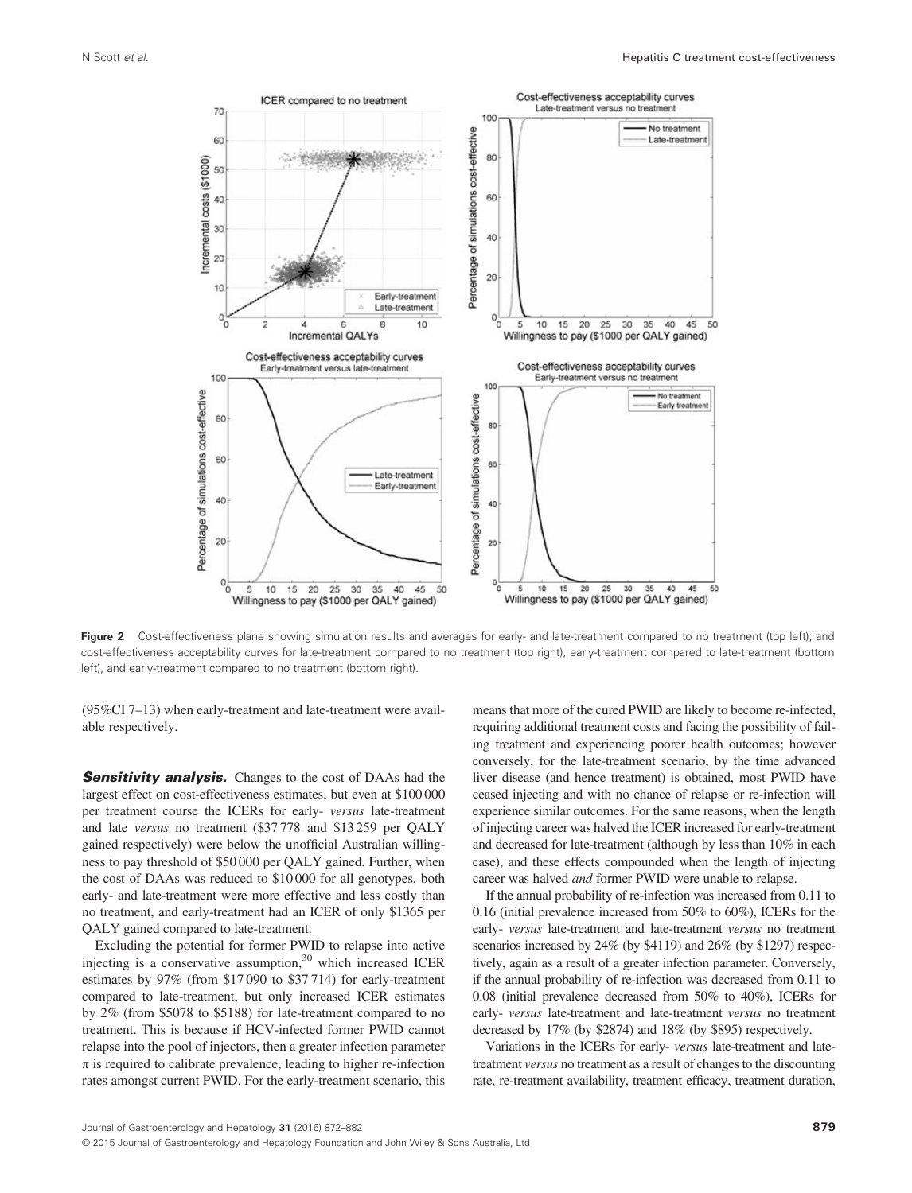

Figure 2 Cost-effectiveness plane showing simulation results and averages for early- and late-treatment compared to no treatment (top left); and cost-effectiveness acceptability curves for late-treatment compared to no treatment (top right), early-treatment compared to late-treatment (bottom left), and early-treatment compared to no treatment (bottom right).

(95%CI 7–13) when early-treatment and late-treatment were available respectively.

**Sensitivity analysis.** Changes to the cost of DAAs had the largest effect on cost-effectiveness estimates, but even at \$100 000 per treatment course the ICERs for early- versus late-treatment and late versus no treatment (\$37 778 and \$13 259 per QALY gained respectively) were below the unofficial Australian willingness to pay threshold of \$50 000 per QALY gained. Further, when the cost of DAAs was reduced to \$10 000 for all genotypes, both early- and late-treatment were more effective and less costly than no treatment, and early-treatment had an ICER of only \$1365 per QALY gained compared to late-treatment.

Excluding the potential for former PWID to relapse into active injecting is a conservative assumption, $30$  which increased ICER estimates by 97% (from \$17 090 to \$37 714) for early-treatment compared to late-treatment, but only increased ICER estimates by 2% (from \$5078 to \$5188) for late-treatment compared to no treatment. This is because if HCV-infected former PWID cannot relapse into the pool of injectors, then a greater infection parameter  $\pi$  is required to calibrate prevalence, leading to higher re-infection rates amongst current PWID. For the early-treatment scenario, this means that more of the cured PWID are likely to become re-infected, requiring additional treatment costs and facing the possibility of failing treatment and experiencing poorer health outcomes; however conversely, for the late-treatment scenario, by the time advanced liver disease (and hence treatment) is obtained, most PWID have ceased injecting and with no chance of relapse or re-infection will experience similar outcomes. For the same reasons, when the length of injecting career was halved the ICER increased for early-treatment and decreased for late-treatment (although by less than 10% in each case), and these effects compounded when the length of injecting career was halved and former PWID were unable to relapse.

If the annual probability of re-infection was increased from 0.11 to 0.16 (initial prevalence increased from 50% to 60%), ICERs for the early- versus late-treatment and late-treatment versus no treatment scenarios increased by 24% (by \$4119) and 26% (by \$1297) respectively, again as a result of a greater infection parameter. Conversely, if the annual probability of re-infection was decreased from 0.11 to 0.08 (initial prevalence decreased from 50% to 40%), ICERs for early- versus late-treatment and late-treatment versus no treatment decreased by 17% (by \$2874) and 18% (by \$895) respectively.

Variations in the ICERs for early- versus late-treatment and latetreatment versus no treatment as a result of changes to the discounting rate, re-treatment availability, treatment efficacy, treatment duration,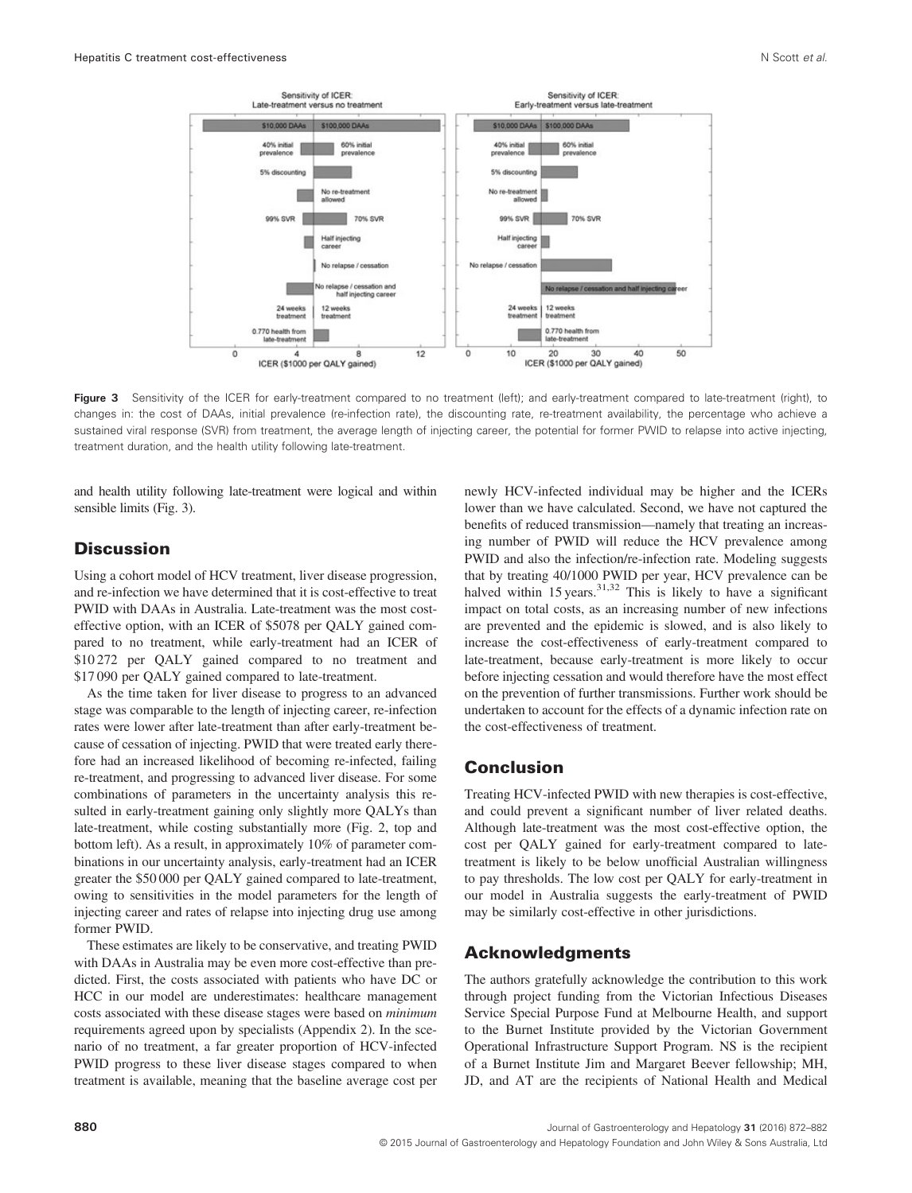

Figure 3 Sensitivity of the ICER for early-treatment compared to no treatment (left); and early-treatment compared to late-treatment (right), to changes in: the cost of DAAs, initial prevalence (re-infection rate), the discounting rate, re-treatment availability, the percentage who achieve a sustained viral response (SVR) from treatment, the average length of injecting career, the potential for former PWID to relapse into active injecting, treatment duration, and the health utility following late-treatment.

and health utility following late-treatment were logical and within sensible limits (Fig. 3).

# **Discussion**

Using a cohort model of HCV treatment, liver disease progression, and re-infection we have determined that it is cost-effective to treat PWID with DAAs in Australia. Late-treatment was the most costeffective option, with an ICER of \$5078 per QALY gained compared to no treatment, while early-treatment had an ICER of \$10 272 per QALY gained compared to no treatment and \$17 090 per QALY gained compared to late-treatment.

As the time taken for liver disease to progress to an advanced stage was comparable to the length of injecting career, re-infection rates were lower after late-treatment than after early-treatment because of cessation of injecting. PWID that were treated early therefore had an increased likelihood of becoming re-infected, failing re-treatment, and progressing to advanced liver disease. For some combinations of parameters in the uncertainty analysis this resulted in early-treatment gaining only slightly more QALYs than late-treatment, while costing substantially more (Fig. 2, top and bottom left). As a result, in approximately 10% of parameter combinations in our uncertainty analysis, early-treatment had an ICER greater the \$50 000 per QALY gained compared to late-treatment, owing to sensitivities in the model parameters for the length of injecting career and rates of relapse into injecting drug use among former PWID.

These estimates are likely to be conservative, and treating PWID with DAAs in Australia may be even more cost-effective than predicted. First, the costs associated with patients who have DC or HCC in our model are underestimates: healthcare management costs associated with these disease stages were based on minimum requirements agreed upon by specialists (Appendix 2). In the scenario of no treatment, a far greater proportion of HCV-infected PWID progress to these liver disease stages compared to when treatment is available, meaning that the baseline average cost per

newly HCV-infected individual may be higher and the ICERs lower than we have calculated. Second, we have not captured the benefits of reduced transmission—namely that treating an increasing number of PWID will reduce the HCV prevalence among PWID and also the infection/re-infection rate. Modeling suggests that by treating 40/1000 PWID per year, HCV prevalence can be halved within  $15$  years.<sup>31,32</sup> This is likely to have a significant impact on total costs, as an increasing number of new infections are prevented and the epidemic is slowed, and is also likely to increase the cost-effectiveness of early-treatment compared to late-treatment, because early-treatment is more likely to occur before injecting cessation and would therefore have the most effect on the prevention of further transmissions. Further work should be undertaken to account for the effects of a dynamic infection rate on the cost-effectiveness of treatment.

# Conclusion

Treating HCV-infected PWID with new therapies is cost-effective, and could prevent a significant number of liver related deaths. Although late-treatment was the most cost-effective option, the cost per QALY gained for early-treatment compared to latetreatment is likely to be below unofficial Australian willingness to pay thresholds. The low cost per QALY for early-treatment in our model in Australia suggests the early-treatment of PWID may be similarly cost-effective in other jurisdictions.

### Acknowledgments

The authors gratefully acknowledge the contribution to this work through project funding from the Victorian Infectious Diseases Service Special Purpose Fund at Melbourne Health, and support to the Burnet Institute provided by the Victorian Government Operational Infrastructure Support Program. NS is the recipient of a Burnet Institute Jim and Margaret Beever fellowship; MH, JD, and AT are the recipients of National Health and Medical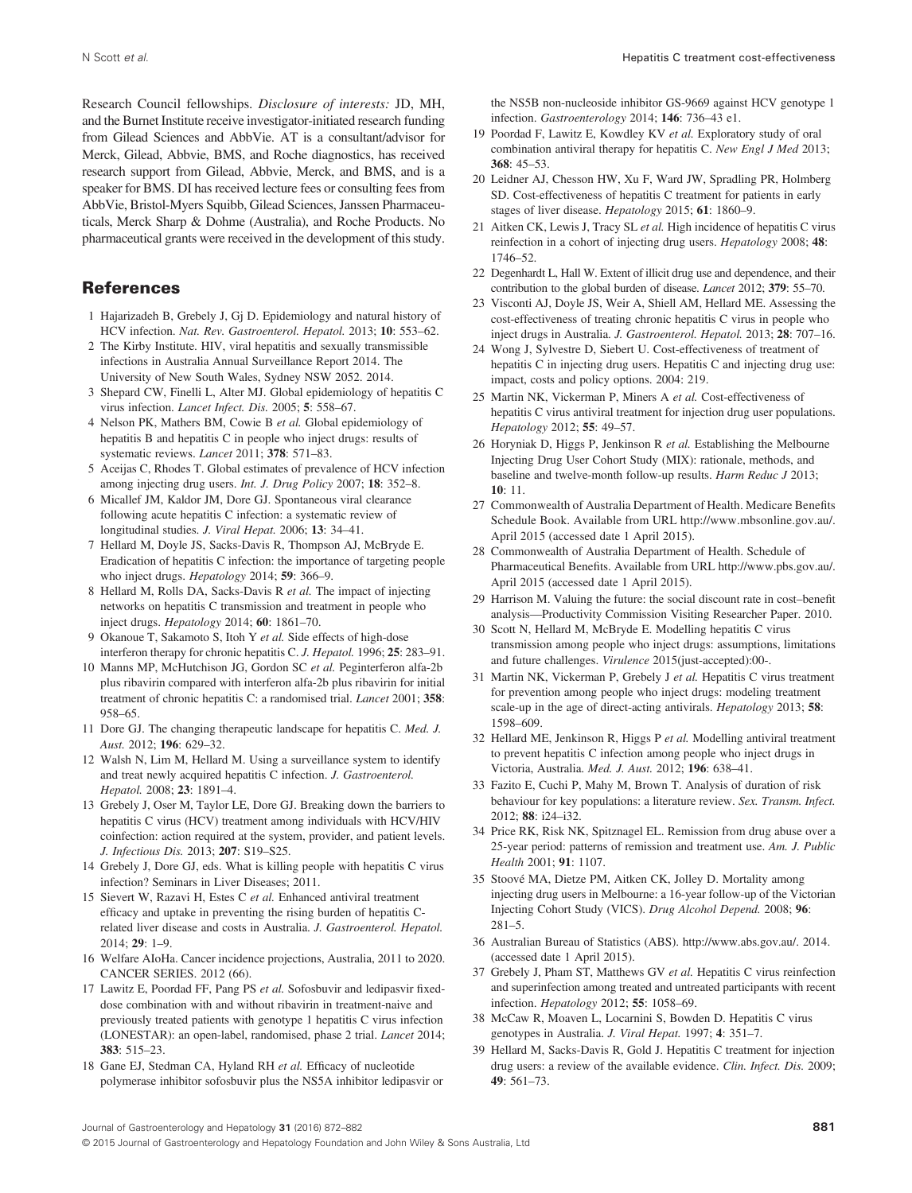Research Council fellowships. Disclosure of interests: JD, MH, and the Burnet Institute receive investigator-initiated research funding from Gilead Sciences and AbbVie. AT is a consultant/advisor for Merck, Gilead, Abbvie, BMS, and Roche diagnostics, has received research support from Gilead, Abbvie, Merck, and BMS, and is a speaker for BMS. DI has received lecture fees or consulting fees from AbbVie, Bristol-Myers Squibb, Gilead Sciences, Janssen Pharmaceuticals, Merck Sharp & Dohme (Australia), and Roche Products. No pharmaceutical grants were received in the development of this study.

### References

- 1 Hajarizadeh B, Grebely J, Gj D. Epidemiology and natural history of HCV infection. Nat. Rev. Gastroenterol. Hepatol. 2013; 10: 553–62.
- 2 The Kirby Institute. HIV, viral hepatitis and sexually transmissible infections in Australia Annual Surveillance Report 2014. The University of New South Wales, Sydney NSW 2052. 2014.
- 3 Shepard CW, Finelli L, Alter MJ. Global epidemiology of hepatitis C virus infection. Lancet Infect. Dis. 2005; 5: 558-67.
- 4 Nelson PK, Mathers BM, Cowie B et al. Global epidemiology of hepatitis B and hepatitis C in people who inject drugs: results of systematic reviews. Lancet 2011; 378: 571–83.
- 5 Aceijas C, Rhodes T. Global estimates of prevalence of HCV infection among injecting drug users. Int. J. Drug Policy 2007; 18: 352–8.
- 6 Micallef JM, Kaldor JM, Dore GJ. Spontaneous viral clearance following acute hepatitis C infection: a systematic review of longitudinal studies. J. Viral Hepat. 2006; 13: 34–41.
- 7 Hellard M, Doyle JS, Sacks-Davis R, Thompson AJ, McBryde E. Eradication of hepatitis C infection: the importance of targeting people who inject drugs. *Hepatology* 2014; **59**: 366–9.
- 8 Hellard M, Rolls DA, Sacks-Davis R et al. The impact of injecting networks on hepatitis C transmission and treatment in people who inject drugs. Hepatology 2014; 60: 1861–70.
- 9 Okanoue T, Sakamoto S, Itoh Y et al. Side effects of high-dose interferon therapy for chronic hepatitis C. J. Hepatol. 1996; 25: 283–91.
- 10 Manns MP, McHutchison JG, Gordon SC et al. Peginterferon alfa-2b plus ribavirin compared with interferon alfa-2b plus ribavirin for initial treatment of chronic hepatitis C: a randomised trial. Lancet 2001; 358: 958–65.
- 11 Dore GJ. The changing therapeutic landscape for hepatitis C. Med. J. Aust. 2012; 196: 629–32.
- 12 Walsh N, Lim M, Hellard M. Using a surveillance system to identify and treat newly acquired hepatitis C infection. J. Gastroenterol. Hepatol. 2008; 23: 1891–4.
- 13 Grebely J, Oser M, Taylor LE, Dore GJ. Breaking down the barriers to hepatitis C virus (HCV) treatment among individuals with HCV/HIV coinfection: action required at the system, provider, and patient levels. J. Infectious Dis. 2013; 207: S19–S25.
- 14 Grebely J, Dore GJ, eds. What is killing people with hepatitis C virus infection? Seminars in Liver Diseases; 2011.
- 15 Sievert W, Razavi H, Estes C et al. Enhanced antiviral treatment efficacy and uptake in preventing the rising burden of hepatitis Crelated liver disease and costs in Australia. J. Gastroenterol. Hepatol.  $2014:29:1-9$ .
- 16 Welfare AIoHa. Cancer incidence projections, Australia, 2011 to 2020. CANCER SERIES. 2012 (66).
- 17 Lawitz E, Poordad FF, Pang PS et al. Sofosbuvir and ledipasvir fixeddose combination with and without ribavirin in treatment-naive and previously treated patients with genotype 1 hepatitis C virus infection (LONESTAR): an open-label, randomised, phase 2 trial. Lancet 2014; 383: 515–23.
- 18 Gane EJ, Stedman CA, Hyland RH et al. Efficacy of nucleotide polymerase inhibitor sofosbuvir plus the NS5A inhibitor ledipasvir or

the NS5B non-nucleoside inhibitor GS-9669 against HCV genotype 1 infection. Gastroenterology 2014; 146: 736–43 e1.

- 19 Poordad F, Lawitz E, Kowdley KV et al. Exploratory study of oral combination antiviral therapy for hepatitis C. New Engl J Med 2013;  $368:45-53$ .
- 20 Leidner AJ, Chesson HW, Xu F, Ward JW, Spradling PR, Holmberg SD. Cost-effectiveness of hepatitis C treatment for patients in early stages of liver disease. Hepatology 2015; 61: 1860–9.
- 21 Aitken CK, Lewis J, Tracy SL et al. High incidence of hepatitis C virus reinfection in a cohort of injecting drug users. *Hepatology* 2008; 48: 1746–52.
- 22 Degenhardt L, Hall W. Extent of illicit drug use and dependence, and their contribution to the global burden of disease. Lancet 2012; 379: 55–70.
- 23 Visconti AJ, Doyle JS, Weir A, Shiell AM, Hellard ME. Assessing the cost-effectiveness of treating chronic hepatitis C virus in people who inject drugs in Australia. J. Gastroenterol. Hepatol. 2013; 28: 707–16.
- 24 Wong J, Sylvestre D, Siebert U. Cost-effectiveness of treatment of hepatitis C in injecting drug users. Hepatitis C and injecting drug use: impact, costs and policy options. 2004: 219.
- 25 Martin NK, Vickerman P, Miners A et al. Cost-effectiveness of hepatitis C virus antiviral treatment for injection drug user populations. Hepatology 2012; 55: 49–57.
- 26 Horyniak D, Higgs P, Jenkinson R et al. Establishing the Melbourne Injecting Drug User Cohort Study (MIX): rationale, methods, and baseline and twelve-month follow-up results. Harm Reduc J 2013; 10: 11.
- 27 Commonwealth of Australia Department of Health. Medicare Benefits Schedule Book. Available from URL http://www.mbsonline.gov.au/. April 2015 (accessed date 1 April 2015).
- 28 Commonwealth of Australia Department of Health. Schedule of Pharmaceutical Benefits. Available from URL http://www.pbs.gov.au/. April 2015 (accessed date 1 April 2015).
- 29 Harrison M. Valuing the future: the social discount rate in cost–benefit analysis—Productivity Commission Visiting Researcher Paper. 2010.
- 30 Scott N, Hellard M, McBryde E. Modelling hepatitis C virus transmission among people who inject drugs: assumptions, limitations and future challenges. Virulence 2015(just-accepted):00-.
- 31 Martin NK, Vickerman P, Grebely J et al. Hepatitis C virus treatment for prevention among people who inject drugs: modeling treatment scale-up in the age of direct-acting antivirals. Hepatology 2013; 58: 1598–609.
- 32 Hellard ME, Jenkinson R, Higgs P et al. Modelling antiviral treatment to prevent hepatitis C infection among people who inject drugs in Victoria, Australia. Med. J. Aust. 2012; 196: 638–41.
- 33 Fazito E, Cuchi P, Mahy M, Brown T. Analysis of duration of risk behaviour for key populations: a literature review. Sex. Transm. Infect. 2012; 88: i24–i32.
- 34 Price RK, Risk NK, Spitznagel EL. Remission from drug abuse over a 25-year period: patterns of remission and treatment use. Am. J. Public Health 2001; 91: 1107.
- 35 Stoové MA, Dietze PM, Aitken CK, Jolley D. Mortality among injecting drug users in Melbourne: a 16-year follow-up of the Victorian Injecting Cohort Study (VICS). Drug Alcohol Depend. 2008; 96: 281–5.
- 36 Australian Bureau of Statistics (ABS). [http://www.abs.gov.au/.](http://www.abs.gov.au/) 2014. (accessed date 1 April 2015).
- 37 Grebely J, Pham ST, Matthews GV et al. Hepatitis C virus reinfection and superinfection among treated and untreated participants with recent infection. Hepatology 2012; 55: 1058–69.
- 38 McCaw R, Moaven L, Locarnini S, Bowden D. Hepatitis C virus genotypes in Australia. J. Viral Hepat. 1997; 4: 351–7.
- 39 Hellard M, Sacks-Davis R, Gold J. Hepatitis C treatment for injection drug users: a review of the available evidence. Clin. Infect. Dis. 2009; 49: 561–73.